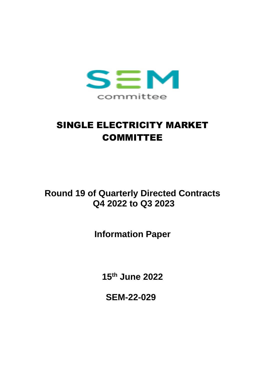

# SINGLE ELECTRICITY MARKET COMMITTEE

## **Round 19 of Quarterly Directed Contracts Q4 2022 to Q3 2023**

**Information Paper**

**15th June 2022**

**SEM-22-029**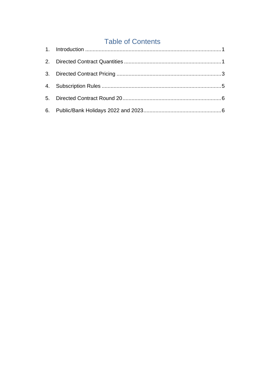### **Table of Contents**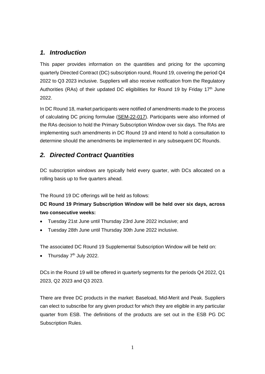#### <span id="page-2-0"></span>*1. Introduction*

This paper provides information on the quantities and pricing for the upcoming quarterly Directed Contract (DC) subscription round, Round 19, covering the period Q4 2022 to Q3 2023 inclusive. Suppliers will also receive notification from the Regulatory Authorities (RAs) of their updated DC eligibilities for Round 19 by Friday 17<sup>th</sup> June 2022.

In DC Round 18, market participants were notified of amendments made to the process of calculating DC pricing formulae [\(SEM-22-017\)](https://www.semcommittee.com/sites/semc/files/media-files/SEM-22-017_Information%20Note%20DC%20Round%2018%20Revised%20Dates%20and%20Amendment%20of%20Pricing%20Calculation%20Process.pdf). Participants were also informed of the RAs decision to hold the Primary Subscription Window over six days. The RAs are implementing such amendments in DC Round 19 and intend to hold a consultation to determine should the amendments be implemented in any subsequent DC Rounds.

#### <span id="page-2-1"></span>*2. Directed Contract Quantities*

DC subscription windows are typically held every quarter, with DCs allocated on a rolling basis up to five quarters ahead.

The Round 19 DC offerings will be held as follows:

#### **DC Round 19 Primary Subscription Window will be held over six days, across two consecutive weeks:**

- Tuesday 21st June until Thursday 23rd June 2022 inclusive; and
- Tuesday 28th June until Thursday 30th June 2022 inclusive.

The associated DC Round 19 Supplemental Subscription Window will be held on:

• Thursday  $7<sup>th</sup>$  July 2022.

DCs in the Round 19 will be offered in quarterly segments for the periods Q4 2022, Q1 2023, Q2 2023 and Q3 2023.

There are three DC products in the market: Baseload, Mid-Merit and Peak. Suppliers can elect to subscribe for any given product for which they are eligible in any particular quarter from ESB. The definitions of the products are set out in the ESB PG DC Subscription Rules.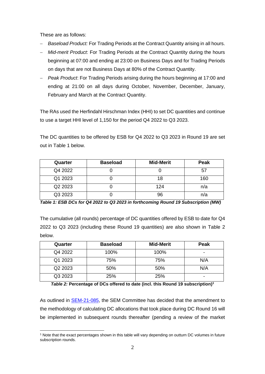These are as follows:

- − *Baseload Product:* For Trading Periods at the Contract Quantity arising in all hours.
- − *Mid-merit Product*: For Trading Periods at the Contract Quantity during the hours beginning at 07:00 and ending at 23:00 on Business Days and for Trading Periods on days that are not Business Days at 80% of the Contract Quantity.
- − *Peak Product*: For Trading Periods arising during the hours beginning at 17:00 and ending at 21:00 on all days during October, November, December, January, February and March at the Contract Quantity.

The RAs used the Herfindahl Hirschman Index (HHI) to set DC quantities and continue to use a target HHI level of 1,150 for the period Q4 2022 to Q3 2023.

The DC quantities to be offered by ESB for Q4 2022 to Q3 2023 in Round 19 are set out in Table 1 below.

| Quarter | <b>Baseload</b> | <b>Mid-Merit</b> | Peak |
|---------|-----------------|------------------|------|
| Q4 2022 |                 |                  | 57   |
| Q1 2023 |                 | 18               | 160  |
| Q2 2023 |                 | 124              | n/a  |
| Q3 2023 |                 | 96               | n/a  |

*Table 1: ESB DCs for Q4 2022 to Q3 2023 in forthcoming Round 19 Subscription (MW)*

The cumulative (all rounds) percentage of DC quantities offered by ESB to date for Q4 2022 to Q3 2023 (including these Round 19 quantities) are also shown in Table 2 below.

| Quarter | <b>Baseload</b> | <b>Mid-Merit</b> | Peak                     |
|---------|-----------------|------------------|--------------------------|
| Q4 2022 | 100%            | 100%             | $\overline{\phantom{0}}$ |
| Q1 2023 | 75%             | 75%              | N/A                      |
| Q2 2023 | 50%             | 50%              | N/A                      |
| Q3 2023 | 25%             | 25%              | -                        |

*Table 2:* **Percentage of DCs offered to date (incl. this Round 19 subscription) 1**

As outlined in [SEM-21-085,](https://www.semcommittee.com/publications/sem-21-085-amendment-allocation-directed-contracts-decision-paper) the SEM Committee has decided that the amendment to the methodology of calculating DC allocations that took place during DC Round 16 will be implemented in subsequent rounds thereafter (pending a review of the market

<sup>1</sup> Note that the exact percentages shown in this table will vary depending on outturn DC volumes in future subscription rounds.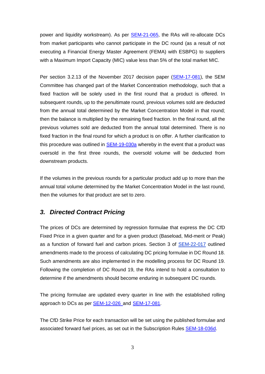power and liquidity workstream). As per **SEM-21-065**, the RAs will re-allocate DCs from market participants who cannot participate in the DC round (as a result of not executing a Financial Energy Master Agreement (FEMA) with ESBPG) to suppliers with a Maximum Import Capacity (MIC) value less than 5% of the total market MIC.

Per section 3.2.13 of the November 2017 decision paper [\(SEM-17-081\)](https://www.semcommittee.com/news-centre/directed-contracts-implementation-decision-paper), the SEM Committee has changed part of the Market Concentration methodology, such that a fixed fraction will be solely used in the first round that a product is offered. In subsequent rounds, up to the penultimate round, previous volumes sold are deducted from the annual total determined by the Market Concentration Model in that round; then the balance is multiplied by the remaining fixed fraction. In the final round, all the previous volumes sold are deducted from the annual total determined. There is no fixed fraction in the final round for which a product is on offer. A further clarification to this procedure was outlined in [SEM-19-030a](https://www.semcommittee.com/publications/sem-19-030-operational-review-market-concentration-model-determining-directed-contract) whereby in the event that a product was oversold in the first three rounds, the oversold volume will be deducted from downstream products.

If the volumes in the previous rounds for a particular product add up to more than the annual total volume determined by the Market Concentration Model in the last round, then the volumes for that product are set to zero.

#### <span id="page-4-0"></span>*3. Directed Contract Pricing*

The prices of DCs are determined by regression formulae that express the DC CfD Fixed Price in a given quarter and for a given product (Baseload, Mid-merit or Peak) as a function of forward fuel and carbon prices. Section 3 of [SEM-22-017](https://www.semcommittee.com/sites/semc/files/media-files/SEM-22-017_Information%20Note%20DC%20Round%2018%20Revised%20Dates%20and%20Amendment%20of%20Pricing%20Calculation%20Process.pdf) outlined amendments made to the process of calculating DC pricing formulae in DC Round 18. Such amendments are also implemented in the modelling process for DC Round 19. Following the completion of DC Round 19, the RAs intend to hold a consultation to determine if the amendments should become enduring in subsequent DC rounds.

The pricing formulae are updated every quarter in line with the established rolling approach to DCs as per [SEM-12-026](http://www.allislandproject.org/en/market_decision_documents.aspx?page=2&article=b3fd5271-d1a7-4ca8-9ebe-16caba305249) and SEM-17-081.

The CfD Strike Price for each transaction will be set using the published formulae and associated forward fuel prices, as set out in the Subscription Rules [SEM-18-036d.](https://www.semcommittee.com/sites/semc/files/media-files/SEM-18-036d%20Subscription%20Rules%20CLEAN%20%28V2.1%2020%20July%202018%29.pdf)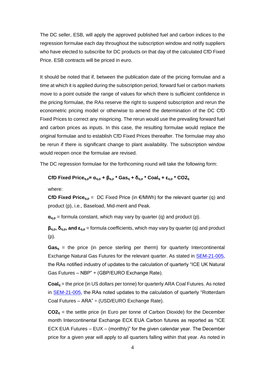The DC seller, ESB, will apply the approved published fuel and carbon indices to the regression formulae each day throughout the subscription window and notify suppliers who have elected to subscribe for DC products on that day of the calculated CfD Fixed Price. ESB contracts will be priced in euro.

It should be noted that if, between the publication date of the pricing formulae and a time at which it is applied during the subscription period, forward fuel or carbon markets move to a point outside the range of values for which there is sufficient confidence in the pricing formulae, the RAs reserve the right to suspend subscription and rerun the econometric pricing model or otherwise to amend the determination of the DC CfD Fixed Prices to correct any mispricing. The rerun would use the prevailing forward fuel and carbon prices as inputs. In this case, the resulting formulae would replace the original formulae and to establish CfD Fixed Prices thereafter. The formulae may also be rerun if there is significant change to plant availability. The subscription window would reopen once the formulae are revised.

The DC regression formulae for the forthcoming round will take the following form:

#### **CfD Fixed Priceq,p= αq,p + βq,p \* Gas<sup>q</sup> + δq,p \* Coal<sup>q</sup> + εq,p \* CO2<sup>q</sup>**

where:

**CfD Fixed Price**<sub>q,p</sub> = DC Fixed Price (in €/MWh) for the relevant quarter (q) and product (p), i.e., Baseload, Mid-merit and Peak.

 $\alpha_{q,p}$  = formula constant, which may vary by quarter (q) and product (p).

**βq,p, δq,p, and εq,p** = formula coefficients, which may vary by quarter (q) and product (p).

 $Gas<sub>q</sub>$  = the price (in pence sterling per therm) for quarterly Intercontinental Exchange Natural Gas Futures for the relevant quarter. As stated in [SEM-21-005,](file:///C:/Users/lmurray/OneDrive%20-%20Commission%20for%20Regulation%20of%20Utilities%20(CRU)/Documents/r16%20final/SEM-21-005) the RAs notified industry of updates to the calculation of quarterly "ICE UK Natural Gas Futures – NBP" ÷ (GBP/EURO Exchange Rate).

**Coal<sup>q</sup>** = the price (in US dollars per tonne) for quarterly ARA Coal Futures. As noted in [SEM-21-005,](file:///C:/Users/lmurray/OneDrive%20-%20Commission%20for%20Regulation%20of%20Utilities%20(CRU)/Documents/r16%20final/SEM-21-005) the RAs noted updates to the calculation of quarterly "Rotterdam Coal Futures – ARA" ÷ (USD/EURO Exchange Rate).

**CO2<sup>q</sup>** = the settle price (in Euro per tonne of Carbon Dioxide) for the December month Intercontinental Exchange ECX EUA Carbon futures as reported as "ICE ECX EUA Futures – EUX – (monthly)" for the given calendar year. The December price for a given year will apply to all quarters falling within that year. As noted in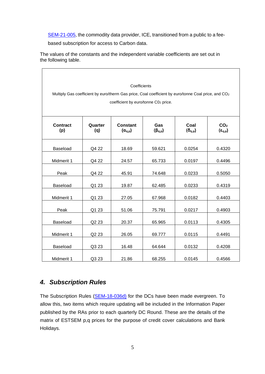[SEM-21-005,](file:///C:/Users/lmurray/OneDrive%20-%20Commission%20for%20Regulation%20of%20Utilities%20(CRU)/Documents/r16%20final/SEM-21-005) the commodity data provider, ICE, transitioned from a public to a fee-

based subscription for access to Carbon data.

The values of the constants and the independent variable coefficients are set out in the following table.

|                        |                                                                                                                  | Coefficients                         |                        |                          |                                       |
|------------------------|------------------------------------------------------------------------------------------------------------------|--------------------------------------|------------------------|--------------------------|---------------------------------------|
|                        | Multiply Gas coefficient by euro/therm Gas price, Coal coefficient by euro/tonne Coal price, and CO <sub>2</sub> |                                      |                        |                          |                                       |
|                        |                                                                                                                  | coefficient by euro/tonne C02 price. |                        |                          |                                       |
|                        |                                                                                                                  |                                      |                        |                          |                                       |
| <b>Contract</b><br>(p) | Quarter<br>(q)                                                                                                   | <b>Constant</b><br>$(\alpha_{q,p})$  | Gas<br>$(\beta_{q,p})$ | Coal<br>$(\delta_{q,p})$ | CO <sub>2</sub><br>$(\epsilon_{q,p})$ |
| Baseload               | Q4 22                                                                                                            | 18.69                                | 59.621                 | 0.0254                   | 0.4320                                |
| Midmerit 1             | Q4 22                                                                                                            | 24.57                                | 65.733                 | 0.0197                   | 0.4496                                |
| Peak                   | Q4 22                                                                                                            | 45.91                                | 74.648                 | 0.0233                   | 0.5050                                |
| Baseload               | Q1 23                                                                                                            | 19.87                                | 62.485                 | 0.0233                   | 0.4319                                |
| Midmerit 1             | Q1 23                                                                                                            | 27.05                                | 67.968                 | 0.0182                   | 0.4403                                |
| Peak                   | Q1 23                                                                                                            | 51.06                                | 75.791                 | 0.0217                   | 0.4903                                |
| Baseload               | Q2 23                                                                                                            | 20.37                                | 65.965                 | 0.0113                   | 0.4305                                |
| Midmerit 1             | Q2 23                                                                                                            | 26.05                                | 69.777                 | 0.0115                   | 0.4491                                |
| <b>Baseload</b>        | Q3 23                                                                                                            | 16.48                                | 64.644                 | 0.0132                   | 0.4208                                |
| Midmerit 1             | Q3 23                                                                                                            | 21.86                                | 68.255                 | 0.0145                   | 0.4566                                |

#### <span id="page-6-0"></span>*4. Subscription Rules*

The Subscription Rules [\(SEM-18-036d\)](https://www.semcommittee.com/sites/semc/files/media-files/SEM-18-036d%20Subscription%20Rules%20CLEAN%20%28V2.1%2020%20July%202018%29.pdf) for the DCs have been made evergreen. To allow this, two items which require updating will be included in the Information Paper published by the RAs prior to each quarterly DC Round. These are the details of the matrix of ESTSEM p,q prices for the purpose of credit cover calculations and Bank Holidays.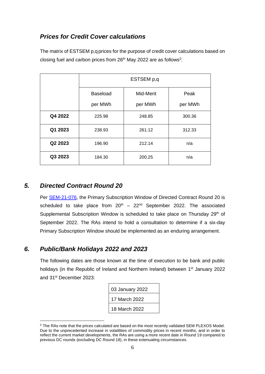#### *Prices for Credit Cover calculations*

The matrix of ESTSEM p,q prices for the purpose of credit cover calculations based on closing fuel and carbon prices from 26<sup>th</sup> May 2022 are as follows<sup>2</sup>:

|         | ESTSEM p,q      |           |         |
|---------|-----------------|-----------|---------|
|         | <b>Baseload</b> | Mid-Merit | Peak    |
|         | per MWh         | per MWh   | per MWh |
| Q4 2022 | 225.98          | 248.85    | 300.36  |
| Q1 2023 | 238.93          | 261.12    | 312.33  |
| Q2 2023 | 196.90          | 212.14    | n/a     |
| Q3 2023 | 184.30          | 200.25    | n/a     |

#### <span id="page-7-0"></span>*5. Directed Contract Round 20*

Per [SEM-21-076,](https://www.semcommittee.com/publications/sem-21-076-subscription-dates-directed-contracts-rounds-17-20) the Primary Subscription Window of Directed Contract Round 20 is scheduled to take place from  $20^{th} - 22^{nd}$  September 2022. The associated Supplemental Subscription Window is scheduled to take place on Thursday 29<sup>th</sup> of September 2022. The RAs intend to hold a consultation to determine if a six-day Primary Subscription Window should be implemented as an enduring arrangement.

#### <span id="page-7-1"></span>*6. Public/Bank Holidays 2022 and 2023*

The following dates are those known at the time of execution to be bank and public holidays (in the Republic of Ireland and Northern Ireland) between 1<sup>st</sup> January 2022 and 31st December 2023:

| 03 January 2022 |
|-----------------|
| 17 March 2022   |
| 18 March 2022   |

<sup>&</sup>lt;sup>2</sup> The RAs note that the prices calculated are based on the most recently validated SEM PLEXOS Model. Due to the unprecedented increase in volatilities of commodity prices in recent months, and in order to reflect the current market developments, the RAs are using a more recent date in Round 19 compared to previous DC rounds (excluding DC Round 18), in these extenuating circumstances.